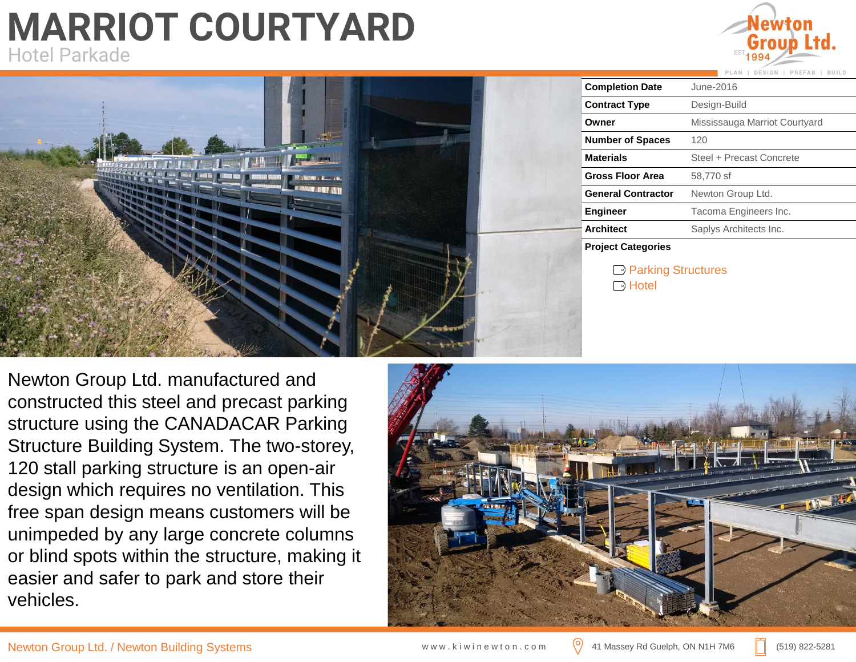## **MARRIOT COURTYARD** Hotel Parkade





Newton Group Ltd. manufactured and constructed this steel and precast parking structure using the CANADACAR Parking Structure Building System. The two-storey, 120 stall parking structure is an open-air design which requires no ventilation. This free span design means customers will be unimpeded by any large concrete columns or blind spots within the structure, making it easier and safer to park and store their vehicles.